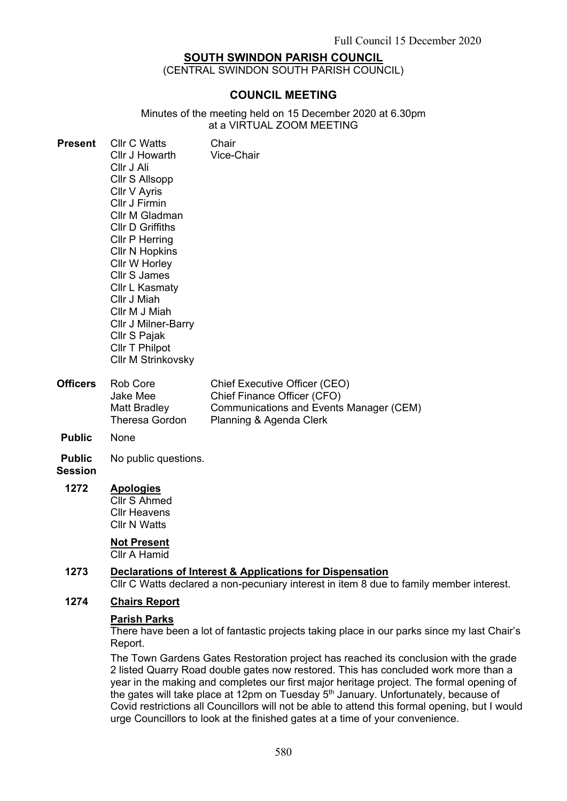## **SOUTH SWINDON PARISH COUNCIL**

(CENTRAL SWINDON SOUTH PARISH COUNCIL)

## **COUNCIL MEETING**

Minutes of the meeting held on 15 December 2020 at 6.30pm at a VIRTUAL ZOOM MEETING

| <b>Present</b>  | <b>CIIr C Watts</b><br>Cllr J Howarth<br>Cllr J Ali<br>Cllr S Allsopp<br>Cllr V Ayris<br>Cllr J Firmin<br>Cllr M Gladman<br><b>CIIr D Griffiths</b><br>Cllr P Herring<br>Cllr N Hopkins<br>Cllr W Horley<br>Cllr S James<br>Cllr L Kasmaty<br>Cllr J Miah<br>Cllr M J Miah<br><b>CIIr J Milner-Barry</b><br>Cllr S Pajak<br>Cllr T Philpot<br><b>CIIr M Strinkovsky</b> | Chair<br><b>Vice-Chair</b>    |
|-----------------|-------------------------------------------------------------------------------------------------------------------------------------------------------------------------------------------------------------------------------------------------------------------------------------------------------------------------------------------------------------------------|-------------------------------|
| <b>Officers</b> | Rob Core                                                                                                                                                                                                                                                                                                                                                                | Chief Executive Officer (CEO) |

| Officers | Rob Core       | Chief Executive Officer (CEO)           |
|----------|----------------|-----------------------------------------|
|          | Jake Mee       | Chief Finance Officer (CFO)             |
|          | Matt Bradley   | Communications and Events Manager (CEM) |
|          | Theresa Gordon | Planning & Agenda Clerk                 |
|          |                |                                         |

- **Public** None
- **Public**  No public questions.

#### **Session**

**1272 Apologies**

Cllr S Ahmed Cllr Heavens Cllr N Watts

# **Not Present**

Cllr A Hamid

# **1273 Declarations of Interest & Applications for Dispensation**

Cllr C Watts declared a non-pecuniary interest in item 8 due to family member interest.

#### **1274 Chairs Report**

#### **Parish Parks**

There have been a lot of fantastic projects taking place in our parks since my last Chair's Report.

The Town Gardens Gates Restoration project has reached its conclusion with the grade 2 listed Quarry Road double gates now restored. This has concluded work more than a year in the making and completes our first major heritage project. The formal opening of the gates will take place at 12pm on Tuesday 5<sup>th</sup> January. Unfortunately, because of Covid restrictions all Councillors will not be able to attend this formal opening, but I would urge Councillors to look at the finished gates at a time of your convenience.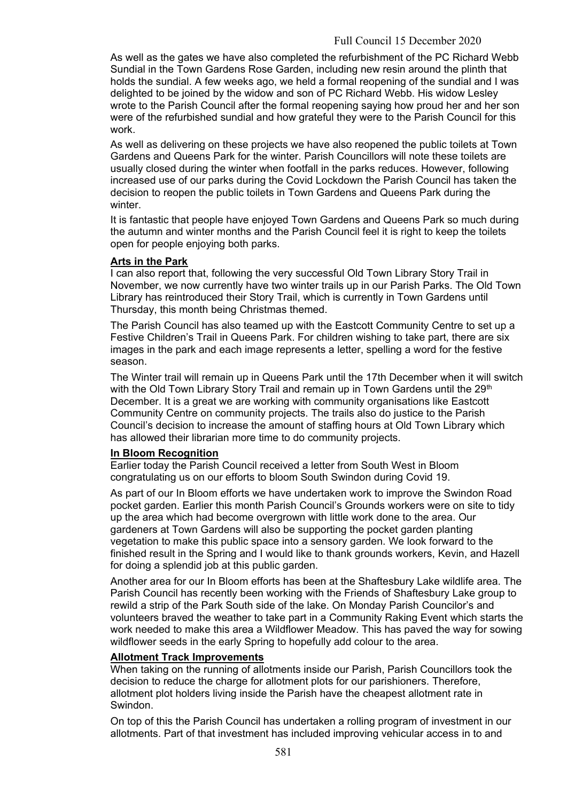As well as the gates we have also completed the refurbishment of the PC Richard Webb Sundial in the Town Gardens Rose Garden, including new resin around the plinth that holds the sundial. A few weeks ago, we held a formal reopening of the sundial and I was delighted to be joined by the widow and son of PC Richard Webb. His widow Lesley wrote to the Parish Council after the formal reopening saying how proud her and her son were of the refurbished sundial and how grateful they were to the Parish Council for this work.

As well as delivering on these projects we have also reopened the public toilets at Town Gardens and Queens Park for the winter. Parish Councillors will note these toilets are usually closed during the winter when footfall in the parks reduces. However, following increased use of our parks during the Covid Lockdown the Parish Council has taken the decision to reopen the public toilets in Town Gardens and Queens Park during the winter

It is fantastic that people have enjoyed Town Gardens and Queens Park so much during the autumn and winter months and the Parish Council feel it is right to keep the toilets open for people enjoying both parks.

#### **Arts in the Park**

I can also report that, following the very successful Old Town Library Story Trail in November, we now currently have two winter trails up in our Parish Parks. The Old Town Library has reintroduced their Story Trail, which is currently in Town Gardens until Thursday, this month being Christmas themed.

The Parish Council has also teamed up with the Eastcott Community Centre to set up a Festive Children's Trail in Queens Park. For children wishing to take part, there are six images in the park and each image represents a letter, spelling a word for the festive season.

The Winter trail will remain up in Queens Park until the 17th December when it will switch with the Old Town Library Story Trail and remain up in Town Gardens until the 29<sup>th</sup> December. It is a great we are working with community organisations like Eastcott Community Centre on community projects. The trails also do justice to the Parish Council's decision to increase the amount of staffing hours at Old Town Library which has allowed their librarian more time to do community projects.

#### **In Bloom Recognition**

Earlier today the Parish Council received a letter from South West in Bloom congratulating us on our efforts to bloom South Swindon during Covid 19.

As part of our In Bloom efforts we have undertaken work to improve the Swindon Road pocket garden. Earlier this month Parish Council's Grounds workers were on site to tidy up the area which had become overgrown with little work done to the area. Our gardeners at Town Gardens will also be supporting the pocket garden planting vegetation to make this public space into a sensory garden. We look forward to the finished result in the Spring and I would like to thank grounds workers, Kevin, and Hazell for doing a splendid job at this public garden.

Another area for our In Bloom efforts has been at the Shaftesbury Lake wildlife area. The Parish Council has recently been working with the Friends of Shaftesbury Lake group to rewild a strip of the Park South side of the lake. On Monday Parish Councilor's and volunteers braved the weather to take part in a Community Raking Event which starts the work needed to make this area a Wildflower Meadow. This has paved the way for sowing wildflower seeds in the early Spring to hopefully add colour to the area.

#### **Allotment Track Improvements**

When taking on the running of allotments inside our Parish, Parish Councillors took the decision to reduce the charge for allotment plots for our parishioners. Therefore, allotment plot holders living inside the Parish have the cheapest allotment rate in Swindon.

On top of this the Parish Council has undertaken a rolling program of investment in our allotments. Part of that investment has included improving vehicular access in to and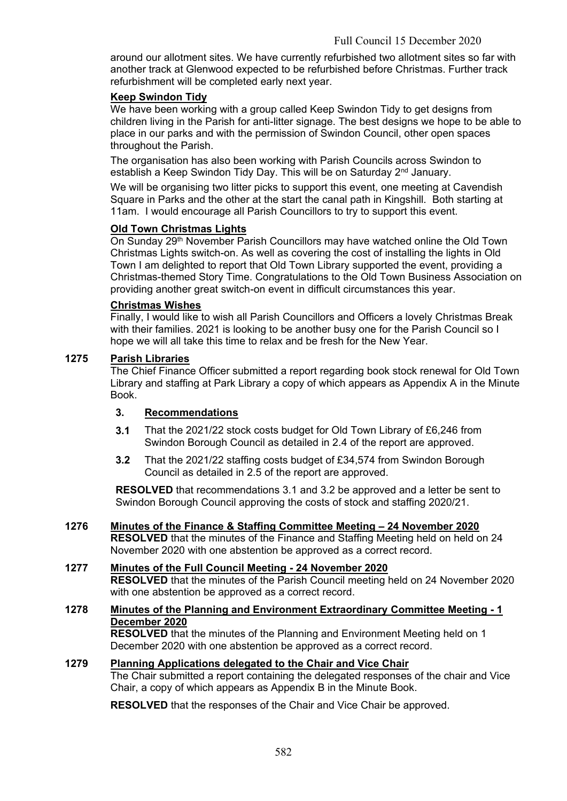around our allotment sites. We have currently refurbished two allotment sites so far with another track at Glenwood expected to be refurbished before Christmas. Further track refurbishment will be completed early next year.

## **Keep Swindon Tidy**

We have been working with a group called Keep Swindon Tidy to get designs from children living in the Parish for anti-litter signage. The best designs we hope to be able to place in our parks and with the permission of Swindon Council, other open spaces throughout the Parish.

The organisation has also been working with Parish Councils across Swindon to establish a Keep Swindon Tidy Day. This will be on Saturday 2<sup>nd</sup> January.

We will be organising two litter picks to support this event, one meeting at Cavendish Square in Parks and the other at the start the canal path in Kingshill. Both starting at 11am. I would encourage all Parish Councillors to try to support this event.

## **Old Town Christmas Lights**

On Sunday 29<sup>th</sup> November Parish Councillors may have watched online the Old Town Christmas Lights switch-on. As well as covering the cost of installing the lights in Old Town I am delighted to report that Old Town Library supported the event, providing a Christmas-themed Story Time. Congratulations to the Old Town Business Association on providing another great switch-on event in difficult circumstances this year.

#### **Christmas Wishes**

Finally, I would like to wish all Parish Councillors and Officers a lovely Christmas Break with their families. 2021 is looking to be another busy one for the Parish Council so I hope we will all take this time to relax and be fresh for the New Year.

#### **1275 Parish Libraries**

The Chief Finance Officer submitted a report regarding book stock renewal for Old Town Library and staffing at Park Library a copy of which appears as Appendix A in the Minute Book.

## **3. Recommendations**

- **3.1** That the 2021/22 stock costs budget for Old Town Library of £6,246 from Swindon Borough Council as detailed in 2.4 of the report are approved.
- **3.2** That the 2021/22 staffing costs budget of £34,574 from Swindon Borough Council as detailed in 2.5 of the report are approved.

**RESOLVED** that recommendations 3.1 and 3.2 be approved and a letter be sent to Swindon Borough Council approving the costs of stock and staffing 2020/21.

**1276 Minutes of the Finance & Staffing Committee Meeting – 24 November 2020 RESOLVED** that the minutes of the Finance and Staffing Meeting held on held on 24 November 2020 with one abstention be approved as a correct record.

#### **1277 Minutes of the Full Council Meeting - 24 November 2020**

**RESOLVED** that the minutes of the Parish Council meeting held on 24 November 2020 with one abstention be approved as a correct record.

## **1278 Minutes of the Planning and Environment Extraordinary Committee Meeting - 1 December 2020**

**RESOLVED** that the minutes of the Planning and Environment Meeting held on 1 December 2020 with one abstention be approved as a correct record.

#### **1279 Planning Applications delegated to the Chair and Vice Chair**

The Chair submitted a report containing the delegated responses of the chair and Vice Chair, a copy of which appears as Appendix B in the Minute Book.

**RESOLVED** that the responses of the Chair and Vice Chair be approved.